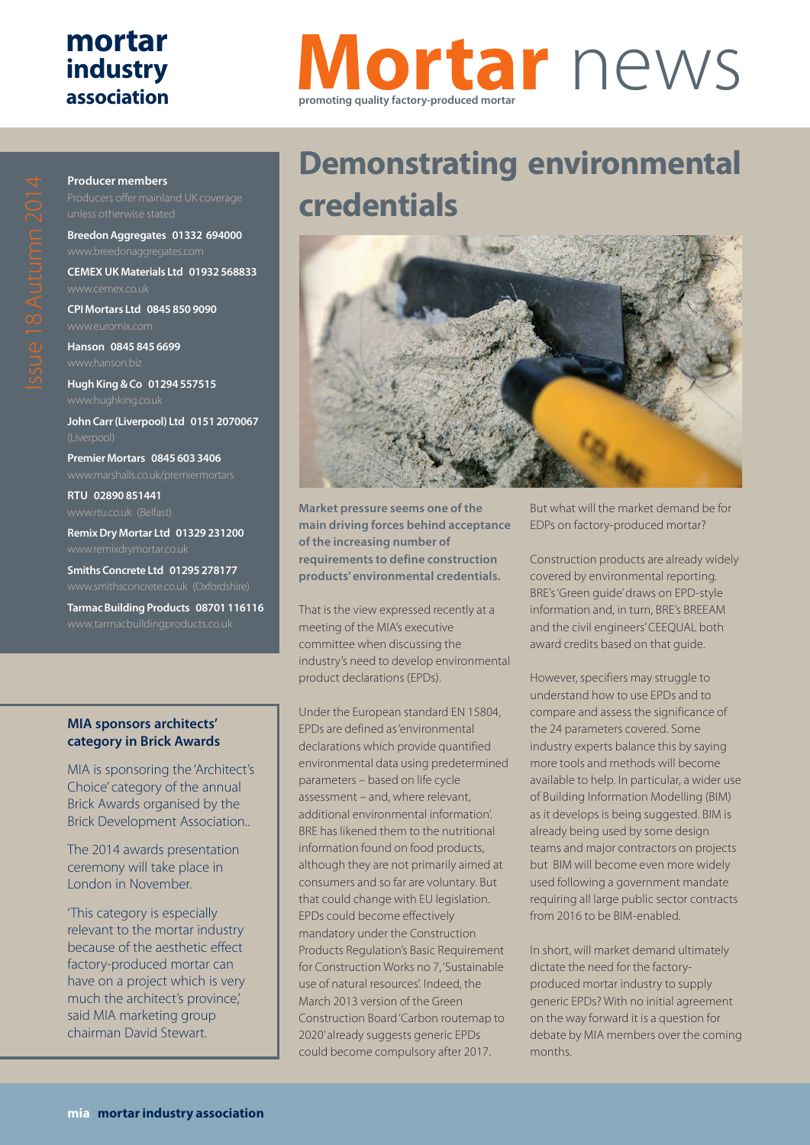## **mortar industry association**

**Producer members**

# **Mortar** news **promoting quality factory-produced mortar**

**CPI Mortars Ltd 0845 850 9090 Hanson 0845 845 6699**

**Breedon Aggregates 01332 694000**

**CEMEX UK Materials Ltd 01932 568833**

**Hugh King & Co 01294 557515**

**John Carr (Liverpool) Ltd 0151 2070067**

**Premier Mortars 0845 603 3406**

**RTU 02890 851441**

**Remix Dry Mortar Ltd 01329 231200**

**Smiths Concrete Ltd 01295 278177**

**Tarmac Building Products 08701 116116**

#### **MIA sponsors architects' category in Brick Awards**

MIA is sponsoring the 'Architect's Choice' category of the annual Brick Awards organised by the Brick Development Association..

The 2014 awards presentation ceremony will take place in London in November.

'This category is especially relevant to the mortar industry because of the aesthetic effect factory-produced mortar can have on a project which is very much the architect's province,' said MIA marketing group chairman David Stewart.

# **Demonstrating environmental credentials**



**Market pressure seems one of the main driving forces behind acceptance of the increasing number of requirements to define construction products' environmental credentials.**

That is the view expressed recently at a meeting of the MIA's executive committee when discussing the industry's need to develop environmental product declarations (EPDs).

Under the European standard EN 15804, EPDs are defined as 'environmental declarations which provide quantified environmental data using predetermined parameters – based on life cycle assessment – and, where relevant, additional environmental information'. BRE has likened them to the nutritional information found on food products, although they are not primarily aimed at consumers and so far are voluntary. But that could change with EU legislation. EPDs could become effectively mandatory under the Construction Products Regulation's Basic Requirement for Construction Works no 7, 'Sustainable use of natural resources'. Indeed, the March 2013 version of the Green Construction Board 'Carbon routemap to 2020'already suggests generic EPDs could become compulsory after 2017.

But what will the market demand be for EDPs on factory-produced mortar?

Construction products are already widely covered by environmental reporting. BRE's 'Green guide' draws on EPD-style information and, in turn, BRE's BREEAM and the civil engineers' CEEQUAL both award credits based on that guide.

However, specifiers may struggle to understand how to use EPDs and to compare and assess the significance of the 24 parameters covered. Some industry experts balance this by saying more tools and methods will become available to help. In particular, a wider use of Building Information Modelling (BIM) as it develops is being suggested. BIM is already being used by some design teams and major contractors on projects but BIM will become even more widely used following a government mandate requiring all large public sector contracts from 2016 to be BIM-enabled.

In short, will market demand ultimately dictate the need for the factoryproduced mortar industry to supply generic EPDs? With no initial agreement on the way forward it is a question for debate by MIA members over the coming months.